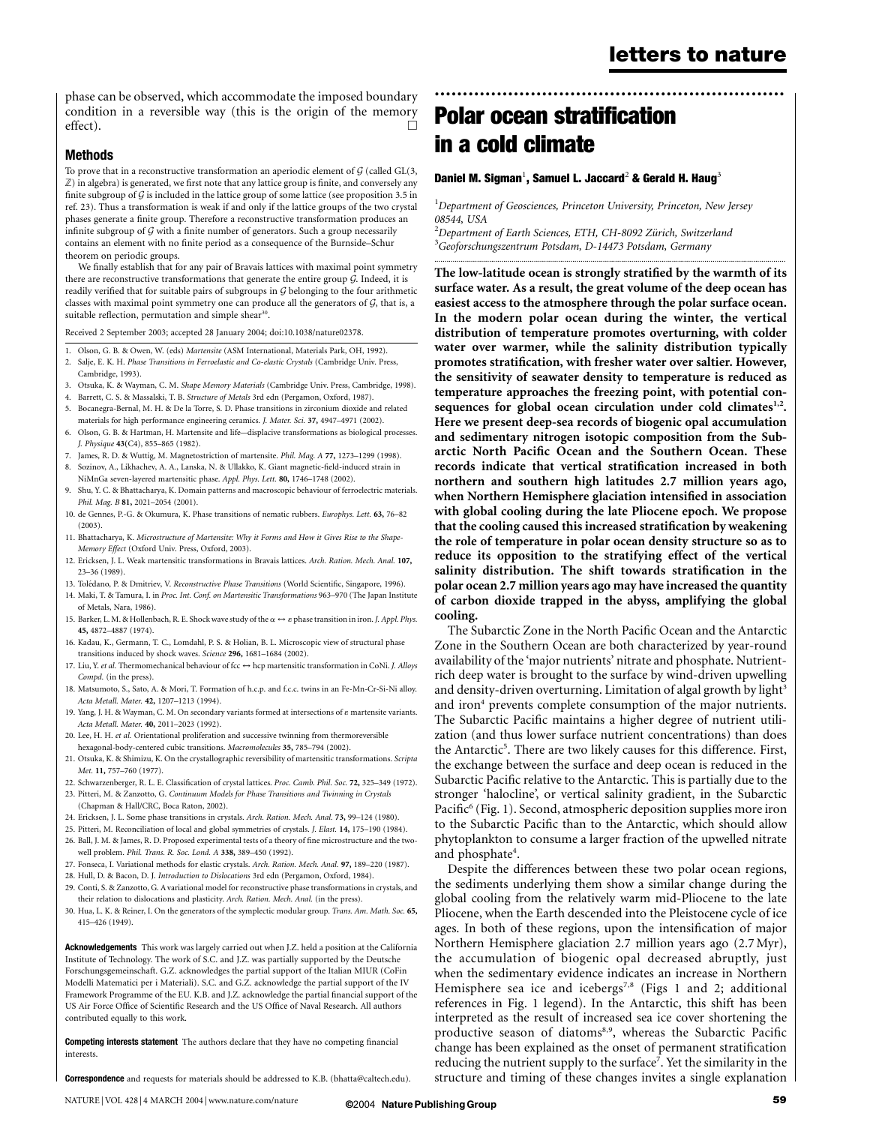phase can be observed, which accommodate the imposed boundary condition in a reversible way (this is the origin of the memory effect).  $\Box$ 

### Methods

To prove that in a reconstructive transformation an aperiodic element of  $G$  (called GL(3,  $\mathbb Z$ ) in algebra) is generated, we first note that any lattice group is finite, and conversely any finite subgroup of  $G$  is included in the lattice group of some lattice (see proposition 3.5 in ref. 23). Thus a transformation is weak if and only if the lattice groups of the two crystal phases generate a finite group. Therefore a reconstructive transformation produces an infinite subgroup of  $G$  with a finite number of generators. Such a group necessarily contains an element with no finite period as a consequence of the Burnside–Schur theorem on periodic groups.

We finally establish that for any pair of Bravais lattices with maximal point symmetry there are reconstructive transformations that generate the entire group  $G$ . Indeed, it is readily verified that for suitable pairs of subgroups in G belonging to the four arithmetic classes with maximal point symmetry one can produce all the generators of  $G$ , that is, a suitable reflection, permutation and simple shear<sup>30</sup>.

Received 2 September 2003; accepted 28 January 2004; doi:10.1038/nature02378.

- 1. Olson, G. B. & Owen, W. (eds) Martensite (ASM International, Materials Park, OH, 1992).
- 2. Salje, E. K. H. Phase Transitions in Ferroelastic and Co-elastic Crystals (Cambridge Univ. Press, Cambridge, 1993).
- 3. Otsuka, K. & Wayman, C. M. Shape Memory Materials (Cambridge Univ. Press, Cambridge, 1998).
- 4. Barrett, C. S. & Massalski, T. B. Structure of Metals 3rd edn (Pergamon, Oxford, 1987). 5. Bocanegra-Bernal, M. H. & De la Torre, S. D. Phase transitions in zirconium dioxide and related
- materials for high performance engineering ceramics. J. Mater. Sci. 37, 4947–4971 (2002).
- 6. Olson, G. B. & Hartman, H. Martensite and life—displacive transformations as biological processes. J. Physique 43(C4), 855–865 (1982).
- 7. James, R. D. & Wuttig, M. Magnetostriction of martensite. Phil. Mag. A 77, 1273–1299 (1998).
- 8. Sozinov, A., Likhachev, A. A., Lanska, N. & Ullakko, K. Giant magnetic-field-induced strain in NiMnGa seven-layered martensitic phase. Appl. Phys. Lett. 80, 1746–1748 (2002).
- Shu, Y. C. & Bhattacharya, K. Domain patterns and macroscopic behaviour of ferroelectric materials. Phil. Mag. B 81, 2021–2054 (2001).
- 10. de Gennes, P.-G. & Okumura, K. Phase transitions of nematic rubbers. Europhys. Lett. 63, 76–82 (2003).
- 11. Bhattacharya, K. Microstructure of Martensite: Why it Forms and How it Gives Rise to the Shape-Memory Effect (Oxford Univ. Press, Oxford, 2003).
- 12. Ericksen, J. L. Weak martensitic transformations in Bravais lattices. Arch. Ration. Mech. Anal. 107, 23–36 (1989).
- 13. Tolédano, P. & Dmitriev, V. Reconstructive Phase Transitions (World Scientific, Singapore, 1996). 14. Maki, T. & Tamura, I. in Proc. Int. Conf. on Martensitic Transformations 963–970 (The Japan Institute
- of Metals, Nara, 1986).
- 15. Barker, L. M. & Hollenbach, R. E. Shock wave study of the  $\alpha \leftrightarrow \varepsilon$  phase transition in iron. J. Appl. Phys. 45, 4872–4887 (1974).
- 16. Kadau, K., Germann, T. C., Lomdahl, P. S. & Holian, B. L. Microscopic view of structural phase transitions induced by shock waves. Science 296, 1681–1684 (2002).
- 17. Liu, Y. et al. Thermomechanical behaviour of fcc  $\leftrightarrow$  hcp martensitic transformation in CoNi. J. Alloys Compd. (in the press).
- 18. Matsumoto, S., Sato, A. & Mori, T. Formation of h.c.p. and f.c.c. twins in an Fe-Mn-Cr-Si-Ni alloy. Acta Metall. Mater. 42, 1207–1213 (1994).
- 19. Yang, J. H. & Wayman, C. M. On secondary variants formed at intersections of  $\varepsilon$  martensite variants. Acta Metall. Mater. 40, 2011–2023 (1992).
- 20. Lee, H. H. et al. Orientational proliferation and successive twinning from thermoreversible hexagonal-body-centered cubic transitions. Macromolecules 35, 785–794 (2002).
- 21. Otsuka, K. & Shimizu, K. On the crystallographic reversibility of martensitic transformations. Scripta Met. 11, 757–760 (1977).
- 22. Schwarzenberger, R. L. E. Classification of crystal lattices. Proc. Camb. Phil. Soc. 72, 325–349 (1972).
- 23. Pitteri, M. & Zanzotto, G. Continuum Models for Phase Transitions and Twinning in Crystals (Chapman & Hall/CRC, Boca Raton, 2002).
- 24. Ericksen, J. L. Some phase transitions in crystals. Arch. Ration. Mech. Anal. 73, 99–124 (1980).
- 25. Pitteri, M. Reconciliation of local and global symmetries of crystals. J. Elast. 14, 175–190 (1984).
- 26. Ball, J. M. & James, R. D. Proposed experimental tests of a theory of fine microstructure and the two-
- well problem. Phil. Trans. R. Soc. Lond. A 338, 389–450 (1992).
- 27. Fonseca, I. Variational methods for elastic crystals. Arch. Ration. Mech. Anal. 97, 189–220 (1987).
- 28. Hull, D. & Bacon, D. J. Introduction to Dislocations 3rd edn (Pergamon, Oxford, 1984). 29. Conti, S. & Zanzotto, G. A variational model for reconstructive phase transformations in crystals, and
- their relation to dislocations and plasticity. Arch. Ration. Mech. Anal. (in the press). 30. Hua, L. K. & Reiner, I. On the generators of the symplectic modular group. Trans. Am. Math. Soc. 65,
- 415–426 (1949).

Acknowledgements This work was largely carried out when J.Z. held a position at the California Institute of Technology. The work of S.C. and J.Z. was partially supported by the Deutsche Forschungsgemeinschaft. G.Z. acknowledges the partial support of the Italian MIUR (CoFin Modelli Matematici per i Materiali). S.C. and G.Z. acknowledge the partial support of the IV Framework Programme of the EU. K.B. and J.Z. acknowledge the partial financial support of the US Air Force Office of Scientific Research and the US Office of Naval Research. All authors contributed equally to this work.

Competing interests statement The authors declare that they have no competing financial interests.

Correspondence and requests for materials should be addressed to K.B. (bhatta@caltech.edu).

# Polar ocean stratification in a cold climate

### Daniel M. Sigman $^1$ , Samuel L. Jaccard $^2$  & Gerald H. Haug $^3$

<sup>1</sup>Department of Geosciences, Princeton University, Princeton, New Jersey 08544, USA

.............................................................................................................................................................................

..............................................................

<sup>2</sup>Department of Earth Sciences, ETH, CH-8092 Zürich, Switzerland<br><sup>3</sup>Cegforschungszentrum Potsdam, D. 14473 Potsdam, Cermany  ${}^{3}$ Geoforschungszentrum Potsdam, D-14473 Potsdam, Germany

The low-latitude ocean is strongly stratified by the warmth of its surface water. As a result, the great volume of the deep ocean has easiest access to the atmosphere through the polar surface ocean. In the modern polar ocean during the winter, the vertical distribution of temperature promotes overturning, with colder water over warmer, while the salinity distribution typically promotes stratification, with fresher water over saltier. However, the sensitivity of seawater density to temperature is reduced as temperature approaches the freezing point, with potential consequences for global ocean circulation under cold climates $1,2$ . Here we present deep-sea records of biogenic opal accumulation and sedimentary nitrogen isotopic composition from the Subarctic North Pacific Ocean and the Southern Ocean. These records indicate that vertical stratification increased in both northern and southern high latitudes 2.7 million years ago, when Northern Hemisphere glaciation intensified in association with global cooling during the late Pliocene epoch. We propose that the cooling caused this increased stratification by weakening the role of temperature in polar ocean density structure so as to reduce its opposition to the stratifying effect of the vertical salinity distribution. The shift towards stratification in the polar ocean 2.7 million years ago may have increased the quantity of carbon dioxide trapped in the abyss, amplifying the global cooling.

The Subarctic Zone in the North Pacific Ocean and the Antarctic Zone in the Southern Ocean are both characterized by year-round availability of the 'major nutrients' nitrate and phosphate. Nutrientrich deep water is brought to the surface by wind-driven upwelling and density-driven overturning. Limitation of algal growth by light<sup>3</sup> and iron<sup>4</sup> prevents complete consumption of the major nutrients. The Subarctic Pacific maintains a higher degree of nutrient utilization (and thus lower surface nutrient concentrations) than does the Antarctic<sup>5</sup>. There are two likely causes for this difference. First, the exchange between the surface and deep ocean is reduced in the Subarctic Pacific relative to the Antarctic. This is partially due to the stronger 'halocline', or vertical salinity gradient, in the Subarctic Pacific<sup>6</sup> (Fig. 1). Second, atmospheric deposition supplies more iron to the Subarctic Pacific than to the Antarctic, which should allow phytoplankton to consume a larger fraction of the upwelled nitrate and phosphate<sup>4</sup>.

Despite the differences between these two polar ocean regions, the sediments underlying them show a similar change during the global cooling from the relatively warm mid-Pliocene to the late Pliocene, when the Earth descended into the Pleistocene cycle of ice ages. In both of these regions, upon the intensification of major Northern Hemisphere glaciation 2.7 million years ago (2.7 Myr), the accumulation of biogenic opal decreased abruptly, just when the sedimentary evidence indicates an increase in Northern Hemisphere sea ice and icebergs<sup>7,8</sup> (Figs 1 and 2; additional references in Fig. 1 legend). In the Antarctic, this shift has been interpreted as the result of increased sea ice cover shortening the productive season of diatoms<sup>8,9</sup>, whereas the Subarctic Pacific change has been explained as the onset of permanent stratification reducing the nutrient supply to the surface<sup>7</sup>. Yet the similarity in the structure and timing of these changes invites a single explanation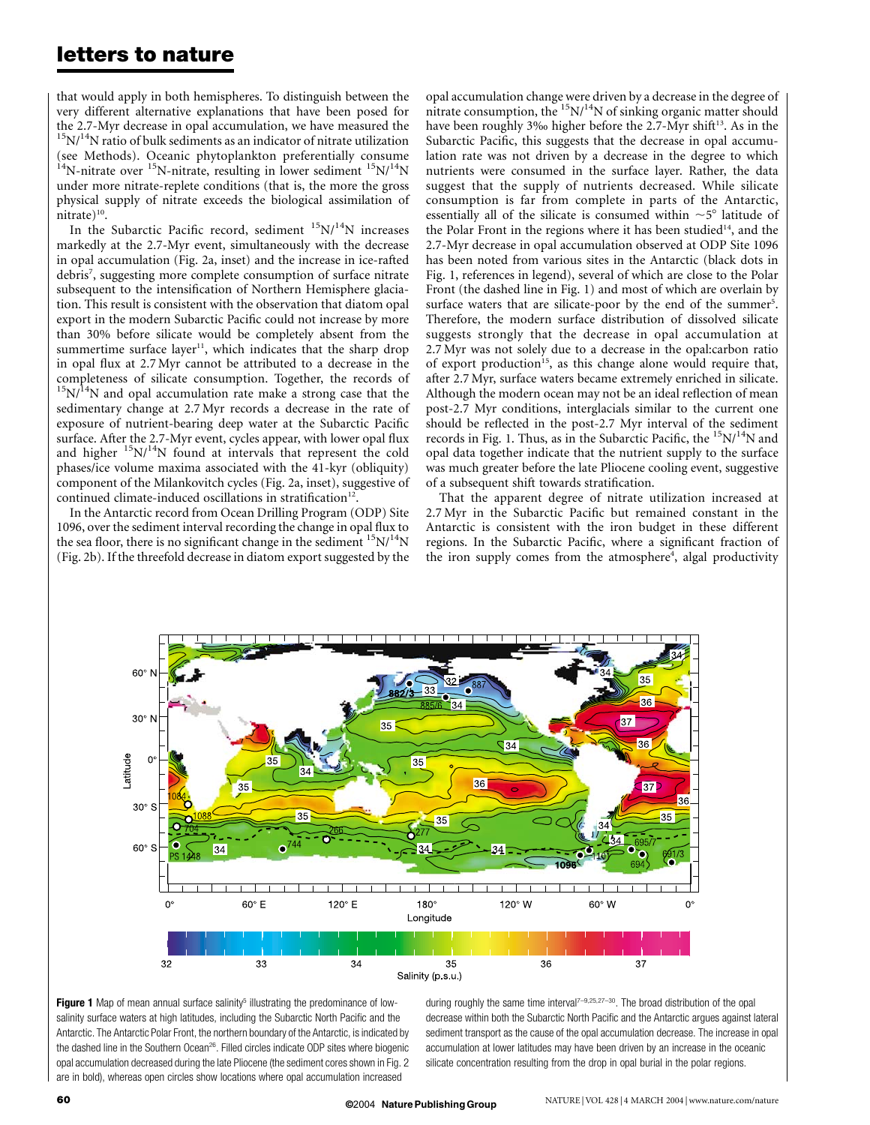## letters to nature

that would apply in both hemispheres. To distinguish between the very different alternative explanations that have been posed for the 2.7-Myr decrease in opal accumulation, we have measured the  $\rm ^{15}N/^{14}N$  ratio of bulk sediments as an indicator of nitrate utilization (see Methods). Oceanic phytoplankton preferentially consume  $14$ N-nitrate over  $15$ N-nitrate, resulting in lower sediment  $15N/14N$ under more nitrate-replete conditions (that is, the more the gross physical supply of nitrate exceeds the biological assimilation of nitrate) $^{10}$ .

In the Subarctic Pacific record, sediment  $15N/14N$  increases markedly at the 2.7-Myr event, simultaneously with the decrease in opal accumulation (Fig. 2a, inset) and the increase in ice-rafted debris<sup>7</sup>, suggesting more complete consumption of surface nitrate subsequent to the intensification of Northern Hemisphere glaciation. This result is consistent with the observation that diatom opal export in the modern Subarctic Pacific could not increase by more than 30% before silicate would be completely absent from the summertime surface layer<sup>11</sup>, which indicates that the sharp drop in opal flux at 2.7 Myr cannot be attributed to a decrease in the completeness of silicate consumption. Together, the records of  $15N/14N$  and opal accumulation rate make a strong case that the sedimentary change at 2.7 Myr records a decrease in the rate of exposure of nutrient-bearing deep water at the Subarctic Pacific surface. After the 2.7-Myr event, cycles appear, with lower opal flux and higher  $15N/14N$  found at intervals that represent the cold phases/ice volume maxima associated with the 41-kyr (obliquity) component of the Milankovitch cycles (Fig. 2a, inset), suggestive of continued climate-induced oscillations in stratification<sup>12</sup>.

In the Antarctic record from Ocean Drilling Program (ODP) Site 1096, over the sediment interval recording the change in opal flux to the sea floor, there is no significant change in the sediment  $15N/14N$ (Fig. 2b). If the threefold decrease in diatom export suggested by the

opal accumulation change were driven by a decrease in the degree of nitrate consumption, the  $^{15}N/^{14}N$  of sinking organic matter should have been roughly 3‰ higher before the 2.7-Myr shift<sup>13</sup>. As in the Subarctic Pacific, this suggests that the decrease in opal accumulation rate was not driven by a decrease in the degree to which nutrients were consumed in the surface layer. Rather, the data suggest that the supply of nutrients decreased. While silicate consumption is far from complete in parts of the Antarctic, essentially all of the silicate is consumed within  $\sim$  5° latitude of the Polar Front in the regions where it has been studied<sup>14</sup>, and the 2.7-Myr decrease in opal accumulation observed at ODP Site 1096 has been noted from various sites in the Antarctic (black dots in Fig. 1, references in legend), several of which are close to the Polar Front (the dashed line in Fig. 1) and most of which are overlain by surface waters that are silicate-poor by the end of the summer<sup>5</sup>. Therefore, the modern surface distribution of dissolved silicate suggests strongly that the decrease in opal accumulation at 2.7 Myr was not solely due to a decrease in the opal:carbon ratio of export production<sup>15</sup>, as this change alone would require that, after 2.7 Myr, surface waters became extremely enriched in silicate. Although the modern ocean may not be an ideal reflection of mean post-2.7 Myr conditions, interglacials similar to the current one should be reflected in the post-2.7 Myr interval of the sediment records in Fig. 1. Thus, as in the Subarctic Pacific, the  $15N/14N$  and opal data together indicate that the nutrient supply to the surface was much greater before the late Pliocene cooling event, suggestive of a subsequent shift towards stratification.

That the apparent degree of nitrate utilization increased at 2.7 Myr in the Subarctic Pacific but remained constant in the Antarctic is consistent with the iron budget in these different regions. In the Subarctic Pacific, where a significant fraction of the iron supply comes from the atmosphere<sup>4</sup>, algal productivity





during roughly the same time interval<sup>7-9,25,27-30</sup>. The broad distribution of the opal decrease within both the Subarctic North Pacific and the Antarctic argues against lateral sediment transport as the cause of the opal accumulation decrease. The increase in opal accumulation at lower latitudes may have been driven by an increase in the oceanic silicate concentration resulting from the drop in opal burial in the polar regions.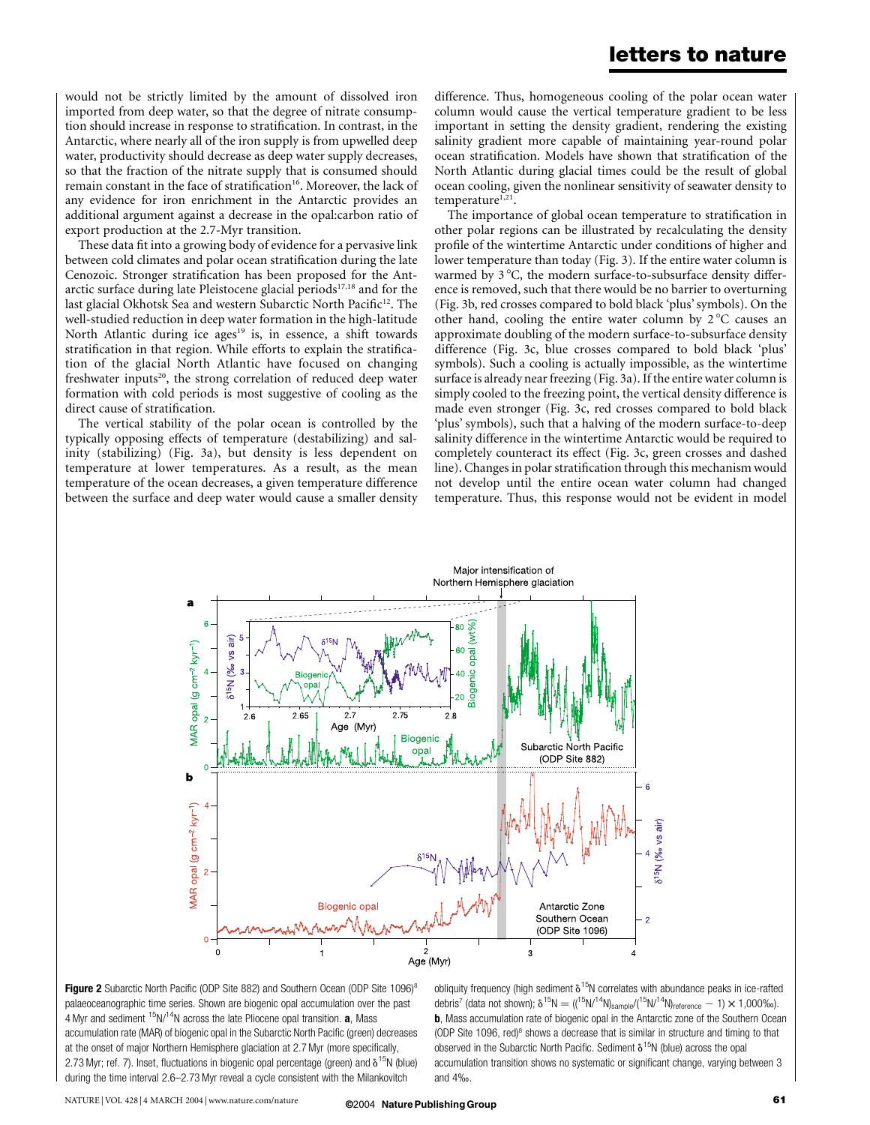would not be strictly limited by the amount of dissolved iron imported from deep water, so that the degree of nitrate consumption should increase in response to stratification. In contrast, in the Antarctic, where nearly all of the iron supply is from upwelled deep water, productivity should decrease as deep water supply decreases, so that the fraction of the nitrate supply that is consumed should remain constant in the face of stratification<sup>16</sup>. Moreover, the lack of any evidence for iron enrichment in the Antarctic provides an additional argument against a decrease in the opal:carbon ratio of export production at the 2.7-Myr transition.

These data fit into a growing body of evidence for a pervasive link between cold climates and polar ocean stratification during the late Cenozoic. Stronger stratification has been proposed for the Antarctic surface during late Pleistocene glacial periods<sup>17,18</sup> and for the last glacial Okhotsk Sea and western Subarctic North Pacific<sup>12</sup>. The well-studied reduction in deep water formation in the high-latitude North Atlantic during ice ages<sup>19</sup> is, in essence, a shift towards stratification in that region. While efforts to explain the stratification of the glacial North Atlantic have focused on changing freshwater inputs<sup>20</sup>, the strong correlation of reduced deep water formation with cold periods is most suggestive of cooling as the direct cause of stratification.

The vertical stability of the polar ocean is controlled by the typically opposing effects of temperature (destabilizing) and salinity (stabilizing) (Fig. 3a), but density is less dependent on temperature at lower temperatures. As a result, as the mean temperature of the ocean decreases, a given temperature difference between the surface and deep water would cause a smaller density

difference. Thus, homogeneous cooling of the polar ocean water column would cause the vertical temperature gradient to be less important in setting the density gradient, rendering the existing salinity gradient more capable of maintaining year-round polar ocean stratification. Models have shown that stratification of the North Atlantic during glacial times could be the result of global ocean cooling, given the nonlinear sensitivity of seawater density to temperature<sup>1,21</sup>.

The importance of global ocean temperature to stratification in other polar regions can be illustrated by recalculating the density profile of the wintertime Antarctic under conditions of higher and lower temperature than today (Fig. 3). If the entire water column is warmed by 3 °C, the modern surface-to-subsurface density difference is removed, such that there would be no barrier to overturning (Fig. 3b, red crosses compared to bold black 'plus' symbols). On the other hand, cooling the entire water column by  $2^{\circ}$ C causes an approximate doubling of the modern surface-to-subsurface density difference (Fig. 3c, blue crosses compared to bold black 'plus' symbols). Such a cooling is actually impossible, as the wintertime surface is already near freezing (Fig. 3a). If the entire water column is simply cooled to the freezing point, the vertical density difference is made even stronger (Fig. 3c, red crosses compared to bold black 'plus' symbols), such that a halving of the modern surface-to-deep salinity difference in the wintertime Antarctic would be required to completely counteract its effect (Fig. 3c, green crosses and dashed line). Changes in polar stratification through this mechanism would not develop until the entire ocean water column had changed temperature. Thus, this response would not be evident in model



Figure 2 Subarctic North Pacific (ODP Site 882) and Southern Ocean (ODP Site 1096)<sup>8</sup> palaeoceanographic time series. Shown are biogenic opal accumulation over the past 4 Myr and sediment  $15N/14N$  across the late Pliocene opal transition. **a**, Mass accumulation rate (MAR) of biogenic opal in the Subarctic North Pacific (green) decreases at the onset of major Northern Hemisphere glaciation at 2.7 Myr (more specifically, 2.73 Myr; ref. 7). Inset, fluctuations in biogenic opal percentage (green) and  $\delta^{15}N$  (blue) during the time interval 2.6–2.73 Myr reveal a cycle consistent with the Milankovitch

obliquity frequency (high sediment  $\delta^{15}N$  correlates with abundance peaks in ice-rafted debris<sup>7</sup> (data not shown);  $\delta^{15}N = ((15N)^{14}N)_{\text{sample}}/(15N)^{14}N)_{\text{reference}} - 1) \times 1,000\%$ o). **b**, Mass accumulation rate of biogenic opal in the Antarctic zone of the Southern Ocean (ODP Site 1096, red) $8$  shows a decrease that is similar in structure and timing to that observed in the Subarctic North Pacific. Sediment  $\delta^{15}$ N (blue) across the opal accumulation transition shows no systematic or significant change, varying between 3 and 4‰.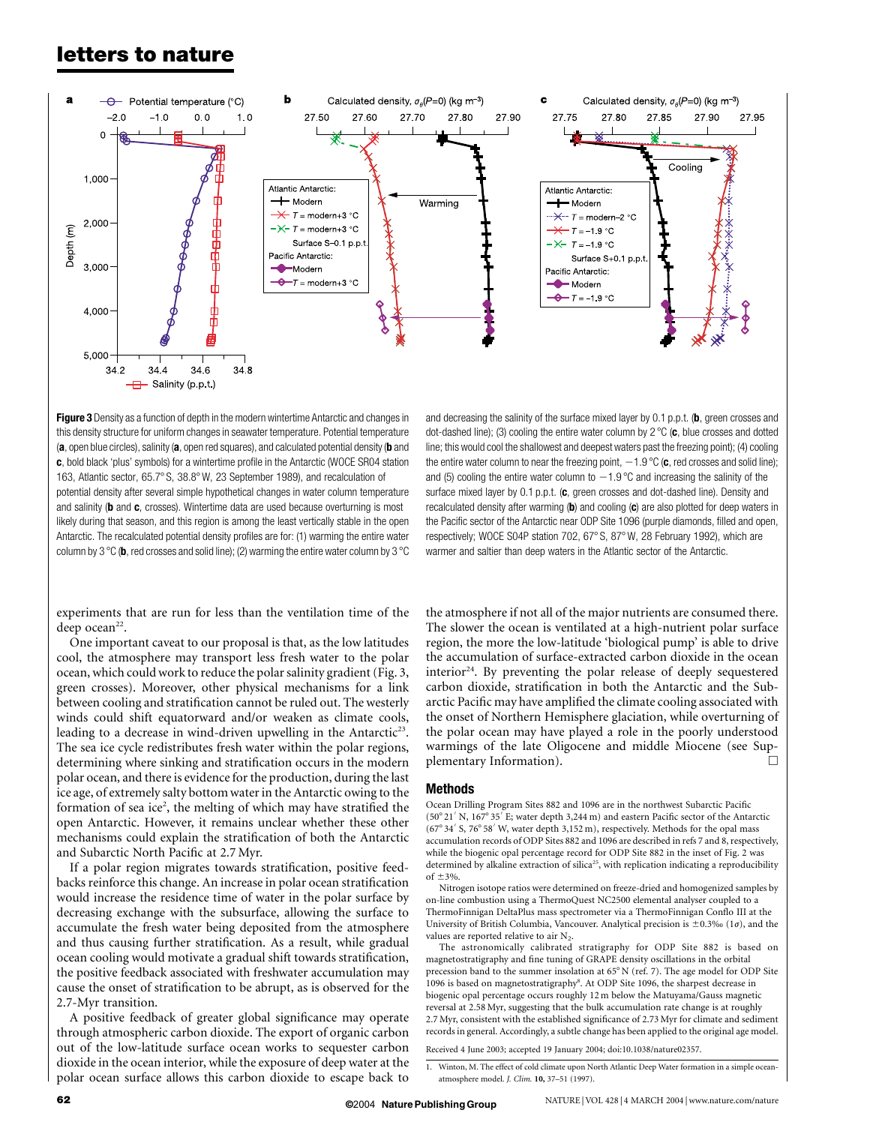## letters to nature



Figure 3 Density as a function of depth in the modern wintertime Antarctic and changes in this density structure for uniform changes in seawater temperature. Potential temperature (a, open blue circles), salinity (a, open red squares), and calculated potential density (b and c, bold black 'plus' symbols) for a wintertime profile in the Antarctic (WOCE SR04 station 163, Atlantic sector, 65.7° S, 38.8° W, 23 September 1989), and recalculation of potential density after several simple hypothetical changes in water column temperature and salinity (b and c, crosses). Wintertime data are used because overturning is most likely during that season, and this region is among the least vertically stable in the open Antarctic. The recalculated potential density profiles are for: (1) warming the entire water column by 3  $\degree$ C (b, red crosses and solid line); (2) warming the entire water column by 3  $\degree$ C

experiments that are run for less than the ventilation time of the deep ocean<sup>22</sup>.

One important caveat to our proposal is that, as the low latitudes cool, the atmosphere may transport less fresh water to the polar ocean, which could work to reduce the polar salinity gradient (Fig. 3, green crosses). Moreover, other physical mechanisms for a link between cooling and stratification cannot be ruled out. The westerly winds could shift equatorward and/or weaken as climate cools, leading to a decrease in wind-driven upwelling in the Antarctic<sup>23</sup>. The sea ice cycle redistributes fresh water within the polar regions, determining where sinking and stratification occurs in the modern polar ocean, and there is evidence for the production, during the last ice age, of extremely salty bottom water in the Antarctic owing to the formation of sea ice<sup>2</sup>, the melting of which may have stratified the open Antarctic. However, it remains unclear whether these other mechanisms could explain the stratification of both the Antarctic and Subarctic North Pacific at 2.7 Myr.

If a polar region migrates towards stratification, positive feedbacks reinforce this change. An increase in polar ocean stratification would increase the residence time of water in the polar surface by decreasing exchange with the subsurface, allowing the surface to accumulate the fresh water being deposited from the atmosphere and thus causing further stratification. As a result, while gradual ocean cooling would motivate a gradual shift towards stratification, the positive feedback associated with freshwater accumulation may cause the onset of stratification to be abrupt, as is observed for the 2.7-Myr transition.

A positive feedback of greater global significance may operate through atmospheric carbon dioxide. The export of organic carbon out of the low-latitude surface ocean works to sequester carbon dioxide in the ocean interior, while the exposure of deep water at the polar ocean surface allows this carbon dioxide to escape back to

and decreasing the salinity of the surface mixed layer by  $0.1$  p.p.t. (b, green crosses and dot-dashed line); (3) cooling the entire water column by  $2^{\circ}C$  (c, blue crosses and dotted line; this would cool the shallowest and deepest waters past the freezing point); (4) cooling the entire water column to near the freezing point,  $-1.9$  °C (c, red crosses and solid line); and (5) cooling the entire water column to  $-1.9$  °C and increasing the salinity of the surface mixed layer by  $0.1$  p.p.t. ( $c$ , green crosses and dot-dashed line). Density and recalculated density after warming (b) and cooling  $(c)$  are also plotted for deep waters in the Pacific sector of the Antarctic near ODP Site 1096 (purple diamonds, filled and open, respectively; WOCE S04P station 702, 67 $^{\circ}$  S, 87 $^{\circ}$  W, 28 February 1992), which are warmer and saltier than deep waters in the Atlantic sector of the Antarctic.

the atmosphere if not all of the major nutrients are consumed there. The slower the ocean is ventilated at a high-nutrient polar surface region, the more the low-latitude 'biological pump' is able to drive the accumulation of surface-extracted carbon dioxide in the ocean interior $24$ . By preventing the polar release of deeply sequestered carbon dioxide, stratification in both the Antarctic and the Subarctic Pacific may have amplified the climate cooling associated with the onset of Northern Hemisphere glaciation, while overturning of the polar ocean may have played a role in the poorly understood warmings of the late Oligocene and middle Miocene (see Supplementary Information).

#### Methods

Ocean Drilling Program Sites 882 and 1096 are in the northwest Subarctic Pacific (50° 21' N, 167° 35' E; water depth 3,244 m) and eastern Pacific sector of the Antarctic  $(67°34' S, 76°58' W, water depth 3,152 m), respectively. Methods for the opal mass$ accumulation records of ODP Sites 882 and 1096 are described in refs 7 and 8, respectively, while the biogenic opal percentage record for ODP Site 882 in the inset of Fig. 2 was determined by alkaline extraction of silica<sup>25</sup>, with replication indicating a reproducibility of  $\pm$ 3%

Nitrogen isotope ratios were determined on freeze-dried and homogenized samples by on-line combustion using a ThermoQuest NC2500 elemental analyser coupled to a ThermoFinnigan DeltaPlus mass spectrometer via a ThermoFinnigan Conflo III at the University of British Columbia, Vancouver. Analytical precision is  $\pm$ 0.3‰ (1 $\sigma$ ), and the values are reported relative to air  $N_2$ .

The astronomically calibrated stratigraphy for ODP Site 882 is based on magnetostratigraphy and fine tuning of GRAPE density oscillations in the orbital precession band to the summer insolation at  $65^{\circ}$  N (ref. 7). The age model for ODP Site 1096 is based on magnetostratigraphy<sup>8</sup>. At ODP Site 1096, the sharpest decrease in biogenic opal percentage occurs roughly 12 m below the Matuyama/Gauss magnetic reversal at 2.58 Myr, suggesting that the bulk accumulation rate change is at roughly 2.7 Myr, consistent with the established significance of 2.73 Myr for climate and sediment records in general. Accordingly, a subtle change has been applied to the original age model.

Received 4 June 2003; accepted 19 January 2004; doi:10.1038/nature02357.

<sup>1.</sup> Winton, M. The effect of cold climate upon North Atlantic Deep Water formation in a simple oceanatmosphere model. J. Clim. 10, 37–51 (1997).